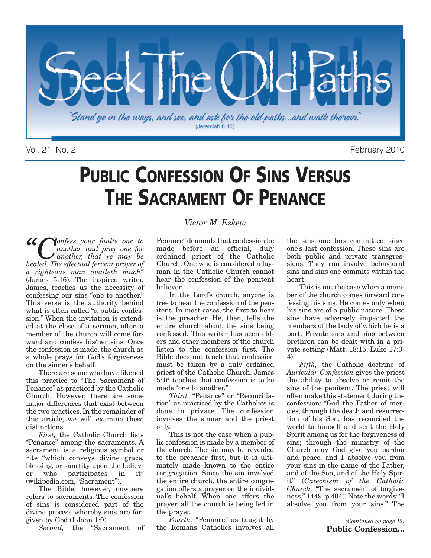

Vol. 21, No. 2 February 2010

# **PUBLIC CONFESSION OF SINS VERSUS THE SACRAMENT OF PENANCE**

*"Confess your faults one to another, and pray one for another, that ye may be healed. The effectual fervent prayer of a righteous man availeth much"* (James 5:16). The inspired writer, James, teaches us the necessity of confessing our sins "one to another." This verse is the authority behind what is often called "a public confession." When the invitation is extended at the close of a sermon, often a member of the church will come forward and confess his/her sins. Once the confession is made, the church as a whole prays for God's forgiveness on the sinner's behalf.

There are some who have likened this practice to "The Sacrament of Penance" as practiced by the Catholic Church. However, there are some major differences that exist between the two practices. In the remainder of this article, we will examine these distinctions.

*First,* the Catholic Church lists "Penance" among the sacraments. A sacrament is a religious symbol or rite "which conveys divine grace, blessing, or sanctity upon the believer who participates in it" (wikipedia.com, "Sacrament").

The Bible, however, nowhere refers to sacraments. The confession of sins is considered part of the divine process whereby sins are forgiven by God (I John 1:9).

*Second,* the "Sacrament of

#### *Victor M. Eskew*

Penance" demands that confession be made before an official, duly ordained priest of the Catholic Church. One who is considered a layman in the Catholic Church cannot hear the confession of the penitent believer.

In the Lord's church, anyone is free to hear the confession of the penitent. In most cases, the first to hear is the preacher. He, then, tells the entire church about the sins being confessed. This writer has seen elders and other members of the church listen to the confession first. The Bible does not teach that confession must be taken by a duly ordained priest of the Catholic Church. James 5:16 teaches that confession is to be made "one to another."

*Third,* "Penance" or "Reconciliation" as practiced by the Catholics is done in private. The confession involves the sinner and the priest only.

This is not the case when a public confession is made by a member of the church. The sin may be revealed to the preacher first, but it is ultimately made known to the entire congregation. Since the sin involved the entire church, the entire congregation offers a prayer on the individual's behalf. When one offers the prayer, all the church is being led in the prayer.

*Fourth,* "Penance" as taught by the Romans Catholics involves all the sins one has committed since one's last confession. These sins are both public and private transgressions. They can involve behavioral sins and sins one commits within the heart.

This is not the case when a member of the church comes forward confessing his sins. He comes only when his sins are of a public nature. These sins have adversely impacted the members of the body of which he is a part. Private sins and sins between brethren can be dealt with in a private setting (Matt. 18:15; Luke 17:3- 4).

*Fifth,* the Catholic doctrine of *Auricular Confession* gives the priest the ability to absolve or remit the sins of the penitent. The priest will often make this statement during the confession: "God the Father of mercies, through the death and resurrection of his Son, has reconciled the world to himself and sent the Holy Spirit among us for the forgiveness of sins; through the ministry of the Church may God give you pardon and peace, and I absolve you from your sins in the name of the Father, and of the Son, and of the Holy Spirit" (*Catechism of the Catholic Church,* "The sacrament of forgiveness," 1449, p.404). Note the words:"I absolve you from your sins." The

> *(Continued on page 12)* **Public Confession…**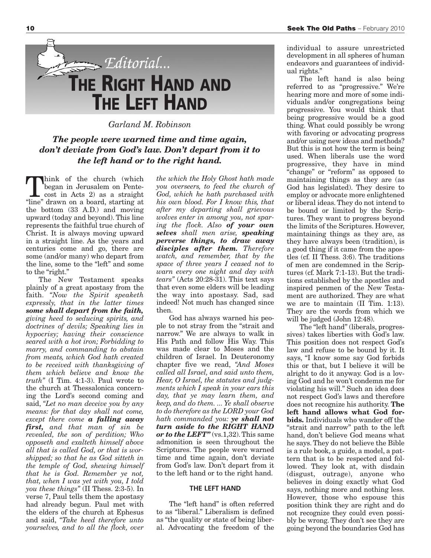

*Garland M. Robinson*

#### *The people were warned time and time again, don't deviate from God's law. Don't depart from it to the left hand or to the right hand.*

**T**hink of the church (which<br>began in Jerusalem on Pente-<br>cost in Acts 2) as a straight<br>"line" drawn on a board starting at began in Jerusalem on Pente-"line" drawn on a board, starting at the bottom (33 A.D.) and moving upward (today and beyond). This line represents the faithful true church of Christ. It is always moving upward in a straight line. As the years and centuries come and go, there are some (and/or many) who depart from the line, some to the "left" and some to the "right."

The New Testament speaks plainly of a great apostasy from the faith. *"Now the Spirit speaketh expressly, that in the latter times some shall depart from the faith, giving heed to seducing spirits, and doctrines of devils; Speaking lies in hypocrisy; having their conscience seared with a hot iron; Forbidding to marry, and commanding to abstain from meats, which God hath created to be received with thanksgiving of them which believe and know the truth"* (I Tim. 4:1-3). Paul wrote to the church at Thessalonica concerning the Lord's second coming and said, *"Let no man deceive you by any means: for that day shall not come, except there come a falling away first, and that man of sin be revealed, the son of perdition; Who opposeth and exalteth himself above all that is called God, or that is worshipped; so that he as God sitteth in the temple of God, shewing himself that he is God. Remember ye not, that, when I was yet with you, I told you these things"* (II Thess. 2:3-5). In verse 7, Paul tells them the apostasy had already begun. Paul met with the elders of the church at Ephesus and said, *"Take heed therefore unto yourselves, and to all the flock, over*

*the which the Holy Ghost hath made you overseers, to feed the church of God, which he hath purchased with his own blood. For I know this, that after my departing shall grievous wolves enter in among you, not sparing the flock. Also of your own selves shall men arise, speaking perverse things, to draw away disciples after them. Therefore watch, and remember, that by the space of three years I ceased not to warn every one night and day with tears"* (Acts 20:28-31). This text says that even some elders will be leading the way into apostasy. Sad, sad indeed! Not much has changed since then.

God has always warned his people to not stray from the "strait and narrow." We are always to walk in His Path and follow His Way. This was made clear to Moses and the children of Israel. In Deuteronomy chapter five we read, *"And Moses called all Israel, and said unto them, Hear, O Israel, the statutes and judgments which I speak in your ears this day, that ye may learn them, and keep, and do them. ... Ye shall observe to do therefore as the LORD your God hath commanded you: ye shall not turn aside to the RIGHT HAND or to the LEFT"* (vs.1,32).This same admonition is seen throughout the Scriptures. The people were warned time and time again, don't deviate from God's law. Don't depart from it to the left hand or to the right hand.

#### **THE LEFT HAND**

The "left hand" is often referred to as "liberal." Liberalism is defined as "the quality or state of being liberal. Advocating the freedom of the individual to assure unrestricted development in all spheres of human endeavors and guarantees of individual rights."

The left hand is also being referred to as "progressive." We're hearing more and more of some individuals and/or congregations being progressive. You would think that being progressive would be a good thing. What could possibly be wrong with favoring or advocating progress and/or using new ideas and methods? But this is not how the term is being used. When liberals use the word progressive, they have in mind "change" or "reform" as opposed to maintaining things as they are (as God has legislated). They desire to employ or advocate more enlightened or liberal ideas. They do not intend to be bound or limited by the Scriptures. They want to progress beyond the limits of the Scriptures. However, maintaining things as they are, as they have always been (tradition), is a good thing if it came from the apostles (cf. II Thess. 3:6). The traditions of men are condemned in the Scriptures (cf. Mark 7:1-13). But the traditions established by the apostles and inspired penmen of the New Testament are authorized. They are what we are to maintain (II Tim. 1:13). They are the words from which we will be judged (John 12:48).

The "left hand" (liberals, progressives) takes liberties with God's law. This position does not respect God's law and refuse to be bound by it. It says, "I know some say God forbids this or that, but I believe it will be alright to do it anyway. God is a loving God and he won't condemn me for violating his will." Such an idea does not respect God's laws and therefore does not recognize his authority. **The left hand allows what God forbids.** Individuals who wander off the "strait and narrow" path to the left hand, don't believe God means what he says.They do not believe the Bible is a rule book, a guide, a model, a pattern that is to be respected and followed. They look at, with disdain (disgust, outrage), anyone who believes in doing exactly what God says, nothing more and nothing less. However, those who espouse this position think they are right and do not recognize they could even possibly be wrong. They don't see they are going beyond the boundaries God has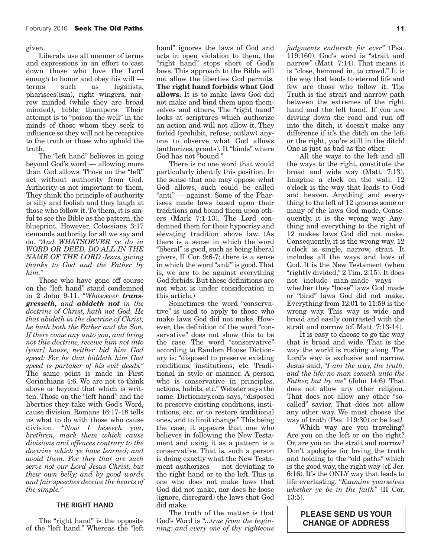given.

Liberals use all manner of terms and expressions in an effort to cast down those who love the Lord enough to honor and obey his will terms such as legalists, pharisees(ism), right wingers, narrow minded (while they are broad minded), bible thumpers. Their attempt is to "poison the well" in the minds of those whom they seek to influence so they will not be receptive to the truth or those who uphold the truth.

The "left hand" believes in going beyond God's word — allowing more than God allows. Those on the "left" act without authority from God. Authority is not important to them. They think the principle of authority is silly and foolish and they laugh at those who follow it. To them, it is sinful to see the Bible as the pattern, the blueprint. However, Colossians 3:17 demands authority for all we say and do. *"And WHATSOEVER ye do in WORD OR DEED, DO ALL IN THE NAME OF THE LORD Jesus, giving thanks to God and the Father by him."*

Those who have gone off course on the "left hand" stand condemned in 2 John 9-11. *"Whosoever transgresseth, and abideth not in the doctrine of Christ, hath not God. He that abideth in the doctrine of Christ, he hath both the Father and the Son. If there come any unto you, and bring not this doctrine, receive him not into [your] house, neither bid him God speed: For he that biddeth him God speed is partaker of his evil deeds."* The same point is made in First Corinthians 4:6. We are not to think above or beyond that which is written. Those on the "left hand" and the liberties they take with God's Word, cause division. Romans 16:17-18 tells us what to do with those who cause division. *"Now I beseech you, brethren, mark them which cause divisions and offences contrary to the doctrine which ye have learned; and avoid them. For they that are such serve not our Lord Jesus Christ, but their own belly; and by good words and fair speeches deceive the hearts of the simple."*

#### **THE RIGHT HAND**

The "right hand" is the opposite of the "left hand." Whereas the "left

hand" ignores the laws of God and acts in open violation to them, the "right hand" stops short of God's laws. This approach to the Bible will not allow the liberties God permits. **The right hand forbids what God allows.** It is to make laws God did not make and bind them upon themselves and others. The "right hand" looks at scriptures which authorize an action and will not allow it. They forbid (prohibit, refuse, outlaw) anyone to observe what God allows (authorizes, grants). It "binds" where God has not "bound."

There is no one word that would particularly identify this position. In the sense that one may oppose what God allows, such could be called "anti" — against. Some of the Pharisees made laws based upon their traditions and bound them upon others (Mark 7:1-13). The Lord condemned them for their hypocrisy and elevating tradition above law. (As there is a sense in which the word "liberal" is good, such as being liberal givers, II Cor. 9:6-7; there is a sense in which the word "anti" is good.That is, we are to be against everything God forbids. But these definitions are not what is under consideration in this article.)

Sometimes the word "conservative" is used to apply to those who make laws God did not make. However, the definition of the word "conservative" does not show this to be the case. The word "conservative" according to Random House Dictionary is: "disposed to preserve existing conditions, institutions, etc. Traditional in style or manner. A person who is conservative in principles, actions, habits, etc." Webster says the same. Dictionary.com says, "disposed to preserve existing conditions, institutions, etc. or to restore traditional ones, and to limit change." This being the case, it appears that one who believes in following the New Testament and using it as a pattern is a conservative. That is, such a person is doing exactly what the New Testament authorizes — not deviating to the right hand or to the left. This is one who does not make laws that God did not make, nor does he loose (ignore, disregard) the laws that God did make.

The truth of the matter is that God's Word is *"...true from the beginning: and every one of thy righteous*

*judgments endureth for ever"* (Psa. 119:160). God's word is "strait and narrow" (Matt. 7:14). That means it is "close, hemmed in, to crowd." It is the way that leads to eternal life and few are those who follow it. The Truth is the strait and narrow path between the extremes of the right hand and the left hand. If you are driving down the road and run off into the ditch, it doesn't make any difference if it's the ditch on the left or the right, you're still in the ditch! One is just as bad as the other.

All the ways to the left and all the ways to the right, constitute the broad and wide way (Matt. 7:13). Imagine a clock on the wall. 12 o'clock is the way that leads to God and heaven. Anything and everything to the left of 12 ignores some or many of the laws God made. Consequently, it is the wrong way. Anything and everything to the right of 12 makes laws God did not make. Consequently, it is the wrong way. 12 o'clock is single, narrow, strait. It includes all the ways and laws of God. It is the New Testament (when "rightly divided," 2 Tim. 2:15). It does not include man-made ways whether they "loose" laws God made or "bind" laws God did not make. Everything from 12:01 to 11:59 is the wrong way. This way is wide and broad and easily contrasted with the strait and narrow (cf. Matt. 7:13-14).

It is easy to choose to go the way that is broad and wide. That is the way the world is rushing along. The Lord's way is exclusive and narrow. Jesus said, *"I am the way, the truth, and the life: no man cometh unto the Father, but by me"* (John 14:6). That does not allow any other religion. That does not allow any other "socalled" savior. That does not allow any other way. We must choose the way of truth (Psa. 119:30) or be lost!

Which way are you traveling? Are you on the left or on the right? Or, are you on the strait and narrow? Don't apologize for loving the truth and holding to the "old paths" which is the good way, the right way (cf. Jer. 6:16). It's the ONLY way that leads to life everlasting. *"Examine yourselves whether ye be in the faith"* (II Cor. 13:5).

#### **PLEASE SEND US YOUR CHANGE OF ADDRESS**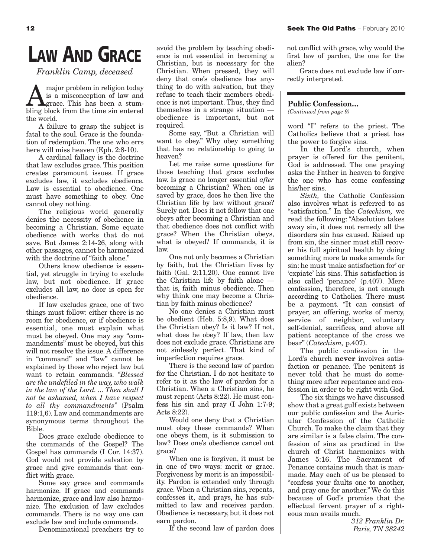# **LAW AND GRACE**

*Franklin Camp, deceased*

**A** major problem in religion today<br>is a misconception of law and<br>prace. This has been a stumis a misconception of law and bling block from the time sin entered the world.

A failure to grasp the subject is fatal to the soul. Grace is the foundation of redemption. The one who errs here will miss heaven (Eph. 2:8-10).

A cardinal fallacy is the doctrine that law excludes grace. This position creates paramount issues. If grace excludes law, it excludes obedience. Law is essential to obedience. One must have something to obey. One cannot obey nothing.

The religious world generally denies the necessity of obedience in becoming a Christian. Some equate obedience with works that do not save. But James 2:14-26, along with other passages, cannot be harmonized with the doctrine of "faith alone."

Others know obedience is essential, yet struggle in trying to exclude law, but not obedience. If grace excludes all law, no door is open for obedience.

If law excludes grace, one of two things must follow: either there is no room for obedience, or if obedience is essential, one must explain what must be obeyed. One may say "commandments" must be obeyed, but this will not resolve the issue. A difference in "command" and "law" cannot be explained by those who reject law but want to retain commands. *"Blessed are the undefiled in the way, who walk in the law of the Lord. ... Then shall I not be ashamed, when I have respect to all thy commandments"* (Psalm 119:1,6). Law and commandments are synonymous terms throughout the Bible.

Does grace exclude obedience to the commands of the Gospel? The Gospel has commands (I Cor. 14:37). God would not provide salvation by grace and give commands that conflict with grace.

Some say grace and commands harmonize. If grace and commands harmonize, grace and law also harmonize. The exclusion of law excludes commands. There is no way one can exclude law and include commands.

Denominational preachers try to

avoid the problem by teaching obedience is not essential in becoming a Christian, but is necessary for the Christian. When pressed, they will deny that one's obedience has anything to do with salvation, but they refuse to teach their members obedience is not important. Thus, they find themselves in a strange situation obedience is important, but not required.

Some say, "But a Christian will want to obey." Why obey something that has no relationship to going to heaven?

Let me raise some questions for those teaching that grace excludes law. Is grace no longer essential *after* becoming a Christian? When one is saved by grace, does he then live the Christian life by law without grace? Surely not. Does it not follow that one obeys after becoming a Christian and that obedience does not conflict with grace? When the Christian obeys, what is obeyed? If commands, it is law.

One not only becomes a Christian by faith, but the Christian lives by faith (Gal. 2:11,20). One cannot live the Christian life by faith alone that is, faith minus obedience. Then why think one may become a Christian by faith minus obedience?

No one denies a Christian must be obedient (Heb. 5:8,9). What does the Christian obey? Is it law? If not, what does he obey? If law, then law does not exclude grace. Christians are not sinlessly perfect. That kind of imperfection requires grace.

There is the second law of pardon for the Christian. I do not hesitate to refer to it as the law of pardon for a Christian. When a Christian sins, he must repent (Acts 8:22). He must confess his sin and pray (I John 1:7-9; Acts 8:22).

Would one deny that a Christian must obey these commands? When one obeys them, is it submission to law? Does one's obedience cancel out grace?

When one is forgiven, it must be in one of two ways: merit or grace. Forgiveness by merit is an impossibility. Pardon is extended only through grace. When a Christian sins, repents, confesses it, and prays, he has submitted to law and receives pardon. Obedience is necessary, but it does not earn pardon.

If the second law of pardon does

not conflict with grace, why would the first law of pardon, the one for the alien?

Grace does not exclude law if correctly interpreted.

#### **Public Confession…**

*(Continued from page 9)*

word "I" refers to the priest. The Catholics believe that a priest has the power to forgive sins.

In the Lord's church, when prayer is offered for the penitent, God is addressed. The one praying asks the Father in heaven to forgive the one who has come confessing his/her sins.

*Sixth,* the Catholic Confession also involves what is referred to as "satisfaction." In the *Catechism,* we read the following: "Absolution takes away sin, it does not remedy all the disorders sin has caused. Raised up from sin, the sinner must still recover his full spiritual health by doing something more to make amends for sin: he must'make satisfaction for' or 'expiate' his sins. This satisfaction is also called 'penance' (p.407). Mere confession, therefore, is not enough according to Catholics. There must be a payment. "It can consist of prayer, an offering, works of mercy, service of neighbor, voluntary self-denial, sacrifices, and above all patient acceptance of the cross we bear" (*Catechism,* p.407).

The public confession in the Lord's church **never** involves satisfaction or penance. The penitent is never told that he must do something more after repentance and confession in order to be right with God.

The six things we have discussed show that a great gulf exists between our public confession and the Auricular Confession of the Catholic Church. To make the claim that they are similar is a false claim. The confession of sins as practiced in the church of Christ harmonizes with James 5:16. The Sacrament of Penance contains much that is manmade. May each of us be pleased to "confess your faults one to another, and pray one for another." We do this because of God's promise that the effectual fervent prayer of a righteous man avails much.

> *312 Franklin Dr. Paris, TN 38242*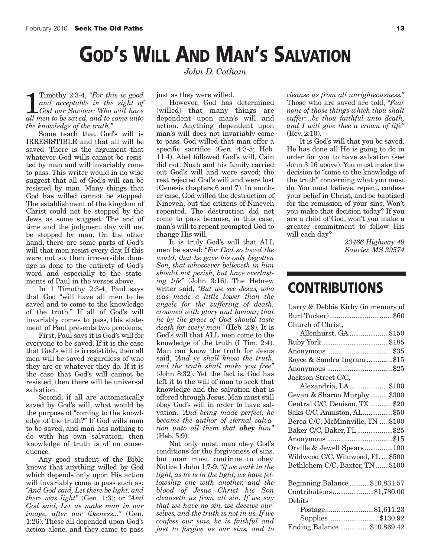# **GOD'S WILL AND MAN'S SALVATION**

1 Timothy 2:3-4, "For this is good and acceptable in the sight of God our Saviour; Who will have all men to be saved, and to come unto Timothy 2:3-4, *"For this is good and acceptable in the sight of God our Saviour; Who will have the knowledge of the truth."*

Some teach that God's will is IRRESISTIBLE and that all will be saved. There is the argument that whatever God wills cannot be resisted by man and will invariably come to pass. This writer would in no wise suggest that all of God's will can be resisted by man. Many things that God has willed cannot be stopped. The establishment of the kingdom of Christ could not be stopped by the Jews as some suggest. The end of time and the judgment day will not be stopped by man. On the other hand, there are some parts of God's will that men resist every day. If this were not so, then irreversible damage is done to the entirety of God's word and especially to the statements of Paul in the verses above.

In 1 Timothy 2:3-4, Paul says that God "will have all men to be saved and to come to the knowledge of the truth." If all of God's will invariably comes to pass, this statement of Paul presents two problems.

First, Paul says it is God's will for everyone to be saved. If it is the case that God's will is irresistible, then all men will be saved regardless of who they are or whatever they do. If it is the case that God's will cannot be resisted, then there will be universal salvation.

Second, if all are automatically saved by God's will, what would be the purpose of "coming to the knowledge of the truth?" If God wills man to be saved, and man has nothing to do with his own salvation; then knowledge of truth is of no consequence.

Any good student of the Bible knows that anything willed by God which depends only upon His action will invariably come to pass such as: *"And God said, Let there be light: and there was light"* (Gen. 1:3); or *"And God said, Let us make man in our image, after our likeness..."* (Gen. 1:26). These all depended upon God's action alone, and they came to pass *John D. Cotham*

just as they were willed.

However, God has determined (willed) that many things are dependent upon man's will and action. Anything dependent upon man's will does not invariably come to pass. God willed that man offer a specific sacrifice (Gen. 4:3-5; Heb. 11:4). Abel followed God's will, Cain did not. Noah and his family carried out God's will and were saved; the rest rejected God's will and were lost (Genesis chapters 6 and 7). In another case, God willed the destruction of Nineveh, but the citizens of Nineveh repented. The destruction did not come to pass because, in this case, man's will to repent prompted God to change His will.

It is truly God's will that ALL men be saved: *"For God so loved the world, that he gave his only begotten Son, that whosoever believeth in him should not perish, but have everlasting life"* (John 3:16). The Hebrew writer said, *"But we see Jesus, who was made a little lower than the angels for the suffering of death, crowned with glory and honour; that he by the grace of God should taste death for every man"* (Heb. 2:9). It is God's will that ALL men come to the knowledge of the truth (I Tim. 2:4). Man can know the truth for Jesus said, *"And ye shall know the truth, and the truth shall make you free"* (John 8:32). Yet the fact is, God has left it to the will of man to seek that knowledge and the salvation that is offered through Jesus. Man must still obey God's will in order to have salvation. *"And being made perfect, he became the author of eternal salvation unto all them that obey him"* (Heb. 5:9).

Not only must man obey God's conditions for the forgiveness of sins, but man must continue to obey. Notice 1 John 1:7-9,*"if we walk in the light, as he is in the light, we have fellowship one with another, and the blood of Jesus Christ his Son cleanseth us from all sin. If we say that we have no sin, we deceive ourselves, and the truth is not in us. If we confess our sins, he is faithful and just to forgive us our sins, and to* *cleanse us from all unrighteousness."* Those who are saved are told, *"Fear none of those things which thou shalt suffer:...be thou faithful unto death, and I will give thee a crown of life"* (Rev. 2:10).

It is God's will that you be saved. He has done all He is going to do in order for you to have salvation (see John 3:16 above). You must make the decision to "come to the knowledge of the truth" concerning what you must do. You must believe, repent, confess your belief in Christ, and be baptized for the remission of your sins. Won't you make that decision today? If you are a child of God, won't you make a greater commitment to follow His will each day?

> *23466 Highway 49 Saucier, MS 39574*

## **CONTRIBUTIONS**

| Larry & Debbie Kirby (in memory of |
|------------------------------------|
|                                    |
| Church of Christ,                  |
| Allenhurst, GA \$150               |
|                                    |
|                                    |
| Royce & Sandra Ingram \$15         |
|                                    |
| Jackson Street C/C,                |
| Alexandria, LA\$100                |
| Gevan & Sharon Murphy\$300         |
| Central C/C, Denison, TX \$20      |
| Saks C/C, Anniston, AL\$50         |
| Berea C/C, McMinnville, TN \$100   |
| Baker C/C, Baker, FL\$25           |
| Anonymous \$15                     |
| Orville & Jewell Spears100         |
| Wildwood C/C, Wildwood, FL  \$500  |
| Bethlehem C/C, Baxter, TN \$100    |
|                                    |
| Beginning Balance \$10,831.57      |
| Contributions\$1,780.00            |
| Debits                             |
| Postage\$1,611.23                  |
| Supplies\$130.92                   |
| Ending Balance \$10,869.42         |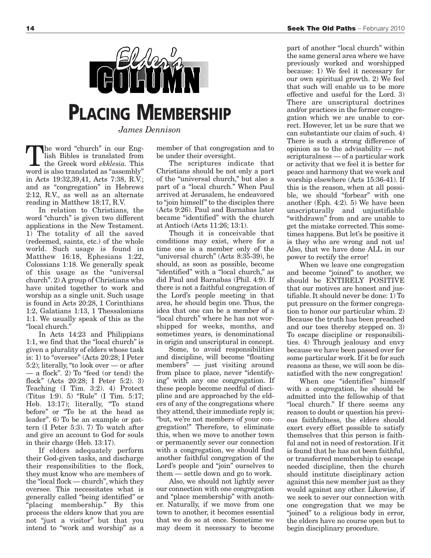

## **PLACING MEMBERSHIP**

*James Dennison*

the word "church" in our English Bibles is translated from the Greek word *ekklesia.* This word is also translated as "assembly" in Acts 19:32,39,41, Acts 7:38, R.V.; and as "congregation" in Hebrews 2:12, R.V., as well as an alternate reading in Matthew 18:17, R.V.

In relation to Christians, the word "church" is given two different applications in the New Testament. 1) The totality of all the saved (redeemed, saints, etc.) of the whole world. Such usage is found in Matthew 16:18, Ephesians 1:22, Colossians 1:18. We generally speak of this usage as the "universal church". 2) A group of Christians who have united together to work and worship as a single unit. Such usage is found in Acts 20:28, 1 Corinthians 1:2, Galatians 1:13, 1 Thessalonians 1:1. We usually speak of this as the "local church."

In Acts 14:23 and Philippians 1:1, we find that the "local church" is given a plurality of elders whose task is: 1) to "oversee" (Acts 20:28; I Peter 5:2); literally, "to look over — or after — a flock". 2) To "feed (or tend) the flock" (Acts 20:28; I Peter 5:2). 3) Teaching (I Tim. 3:2). 4) Protect (Titus 1:9). 5) "Rule" (I Tim. 5:17; Heb. 13:17); literally, "To stand before" or "To be at the head as leader". 6) To be an example or pattern (I Peter 5:3). 7) To watch after and give an account to God for souls in their charge (Heb. 13:17).

If elders adequately perform their God-given tasks, and discharge their responsibilities to the flock, they must know who are members of the "local flock — church", which they oversee. This necessitates what is generally called "being identified" or "placing membership." By this process the elders know that you are not "just a visitor" but that you intend to "work and worship" as a

member of that congregation and to be under their oversight.

The scriptures indicate that Christians should be not only a part of the "universal church," but also a part of a "local church." When Paul arrived at Jerusalem, he endeavored to "join himself" to the disciples there (Acts 9:26). Paul and Barnabas later became "identified" with the church at Antioch (Acts 11:26; 13:1).

Though it is conceivable that conditions may exist, where for a time one is a member only of the "universal church" (Acts 8:35-39), he should, as soon as possible, become "identified" with a "local church," as did Paul and Barnabas (Phil. 4:9). If there is not a faithful congregation of the Lord's people meeting in that area, he should begin one. Thus, the idea that one can be a member of a "local church" where he has not worshipped for weeks, months, and sometimes years, is denominational in origin and unscriptural in concept.

Some, to avoid responsibilities and discipline, will become "floating members" — just visiting around from place to place, never "identifying" with any one congregation. If these people become needful of discipline and are approached by the elders of any of the congregations where they attend, their immediate reply is; "but, we're not members of your congregation!" Therefore, to eliminate this, when we move to another town or permanently sever our connection with a congregation, we should find another faithful congregation of the Lord's people and "join" ourselves to them — settle down and go to work.

Also, we should not lightly sever our connection with one congregation and "place membership" with another. Naturally, if we move from one town to another, it becomes essential that we do so at once. Sometime we may deem it necessary to become

part of another "local church" within the same general area where we have previously worked and worshipped because: 1) We feel it necessary for our own spiritual growth. 2) We feel that such will enable us to be more effective and useful for the Lord. 3) There are unscriptural doctrines and/or practices in the former congregation which we are unable to correct. However, let us be sure that we can substantiate our claim of such. 4) There is such a strong difference of opinion as to the advisability — not scripturalness — of a particular work or activity that we feel it is better for peace and harmony that we work and worship elsewhere (Acts 15:36-41). If this is the reason, when at all possible, we should "forbear" with one another (Eph. 4:2). 5) We have been unscripturally and unjustifiable "withdrawn" from and are unable to get the mistake corrected. This sometimes happens. But let's be positive it is they who are wrong and not us! Also, that we have done ALL in our power to rectify the error!

When we leave one congregation and become "joined" to another, we should be ENTIRELY POSITIVE that our motives are honest and justifiable. It should never be done: 1) To put pressure on the former congregation to honor our particular whim. 2) Because the truth has been preached and our toes thereby stepped on. 3) To escape discipline or responsibilities. 4) Through jealousy and envy because we have been passed over for some particular work. If it be for such reasons as these, we will soon be dissatisfied with the new congregation!

When one "identifies" himself with a congregation, he should be admitted into the fellowship of that "local church." If there seems any reason to doubt or question his previous faithfulness, the elders should exert every effort possible to satisfy themselves that this person is faithful and not in need of restoration. If it is found that he has not been faithful, or transferred membership to escape needed discipline, then the church should institute disciplinary action against this new member just as they would against any other. Likewise, if we seek to sever our connection with one congregation that we may be "joined" to a religious body in error, the elders have no course open but to begin disciplinary procedure.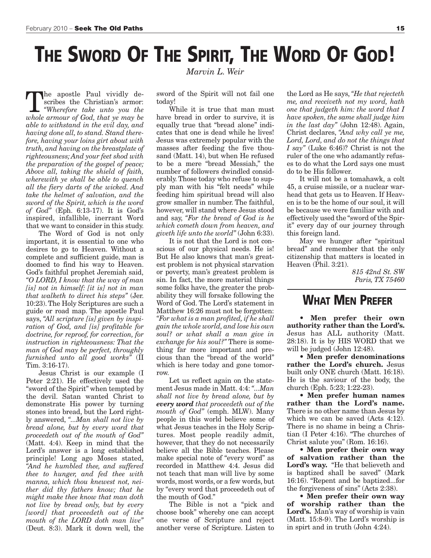# **THE SWORD OF THE SPIRIT, THE WORD OF GOD!**

**The apostle Paul vividly de-**<br>scribes the Christian's armor:<br>"Wherefore *take unto* you *the* scribes the Christian's armor: *whole armour of God, that ye may be able to withstand in the evil day, and having done all, to stand. Stand therefore, having your loins girt about with truth, and having on the breastplate of righteousness; And your feet shod with the preparation of the gospel of peace; Above all, taking the shield of faith, wherewith ye shall be able to quench all the fiery darts of the wicked. And take the helmet of salvation, and the sword of the Spirit, which is the word of God"* (Eph. 6:13-17). It is God's inspired, infallible, inerrant Word that we want to consider in this study.

The Word of God is not only important, it is essential to one who desires to go to Heaven. Without a complete and sufficient guide, man is doomed to find his way to Heaven. God's faithful prophet Jeremiah said, *"O LORD, I know that the way of man [is] not in himself: [it is] not in man that walketh to direct his steps"* (Jer. 10:23).The Holy Scriptures are such a guide or road map. The apostle Paul says, *"All scripture [is] given by inspiration of God, and [is] profitable for doctrine, for reproof, for correction, for instruction in righteousness: That the man of God may be perfect, throughly furnished unto all good works"* (II Tim. 3:16-17).

Jesus Christ is our example (I Peter 2:21). He effectively used the "sword of the Spirit" when tempted by the devil. Satan wanted Christ to demonstrate His power by turning stones into bread, but the Lord rightly answered, *"...Man shall not live by bread alone, but by every word that proceedeth out of the mouth of God"* (Matt. 4:4). Keep in mind that the Lord's answer is a long established principle! Long ago Moses stated, *"And he humbled thee, and suffered thee to hunger, and fed thee with manna, which thou knewest not, neither did thy fathers know; that he might make thee know that man doth not live by bread only, but by every [word] that proceedeth out of the mouth of the LORD doth man live"* (Deut. 8:3). Mark it down well, the *Marvin L. Weir*

sword of the Spirit will not fail one today!

While it is true that man must have bread in order to survive, it is equally true that "bread alone" indicates that one is dead while he lives! Jesus was extremely popular with the masses after feeding the five thousand (Matt. 14), but when He refused to be a mere "bread Messiah," the number of followers dwindled considerably. Those today who refuse to supply man with his "felt needs" while feeding him spiritual bread will also grow smaller in number. The faithful, however, will stand where Jesus stood and say, *"For the bread of God is he which cometh down from heaven, and giveth life unto the world"* (John 6:33).

It is not that the Lord is not conscious of our physical needs. He is! But He also knows that man's greatest problem is not physical starvation or poverty, man's greatest problem is sin. In fact, the more material things some folks have, the greater the probability they will forsake following the Word of God. The Lord's statement in Matthew 16:26 must not be forgotten: *"For what is a man profited, if he shall gain the whole world, and lose his own soul? or what shall a man give in exchange for his soul?"* There is something far more important and precious than the "bread of the world" which is here today and gone tomorrow.

Let us reflect again on the statement Jesus made in Matt. 4:4: *"...Man shall not live by bread alone, but by every word that proceedeth out of the mouth of God"* (emph. MLW). Many people in this world believe some of what Jesus teaches in the Holy Scriptures. Most people readily admit, however, that they do not necessarily believe all the Bible teaches. Please make special note of "every word" as recorded in Matthew 4:4. Jesus did not teach that man will live by some words, most words, or a few words, but by "every word that proceedeth out of the mouth of God."

The Bible is not a "pick and choose book" whereby one can accept one verse of Scripture and reject another verse of Scripture. Listen to

the Lord as He says, *"He that rejecteth me, and receiveth not my word, hath one that judgeth him: the word that I have spoken, the same shall judge him in the last day"* (John 12:48). Again, Christ declares, *"And why call ye me, Lord, Lord, and do not the things that I say"* (Luke 6:46)? Christ is not the ruler of the one who adamantly refuses to do what the Lord says one must do to be His follower.

It will not be a tomahawk, a colt 45, a cruise missile, or a nuclear warhead that gets us to Heaven. If Heaven is to be the home of our soul, it will be because we were familiar with and effectively used the "sword of the Spirit" every day of our journey through this foreign land.

May we hunger after "spiritual bread" and remember that the only citizenship that matters is located in Heaven (Phil. 3:21).

> *815 42nd St. SW Paris, TX 75460*

### **WHAT MEN PREFER**

• **Men prefer their own authority rather than the Lord's.** Jesus has ALL authority (Matt. 28:18). It is by HIS WORD that we will be judged (John 12:48).

• **Men prefer denominations rather the Lord's church.** Jesus built only ONE church (Matt. 16:18). He is the saviour of the body, the church (Eph. 5:23; 1:22-23).

• **Men prefer human names rather than the Lord's name.** There is no other name than Jesus by which we can be saved (Acts 4:12). There is no shame in being a Christian (I Peter 4:16). "The churches of Christ salute you" (Rom. 16:16).

• **Men prefer their own way of salvation rather than the Lord's way.** "He that believeth and is baptized shall be saved" (Mark 16:16). "Repent and be baptized...for the forgiveness of sins" (Acts 2:38).

• **Men prefer their own way of worship rather than the Lord's.** Man's way of worship is vain (Matt. 15:8-9). The Lord's worship is in spirt and in truth (John 4:24).